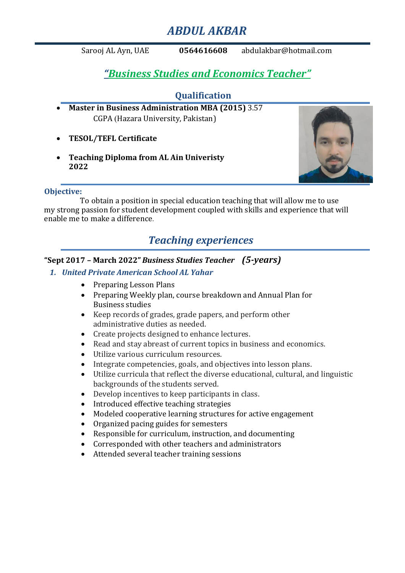# *ABDUL AKBAR*

Sarooj AL Ayn, UAE **0564616608** [abdulakbar@hotmail.com](mailto:abdulakbar@hotmail.com)

# *"Business Studies and Economics Teacher"*

## **Qualification**

- **Master in Business Administration MBA (2015)** 3.57 CGPA (Hazara University, Pakistan)
- **TESOL/TEFL Certificate**
- **Teaching Diploma from AL Ain Univeristy 2022**



#### **Objective:**

To obtain a position in special education teaching that will allow me to use my strong passion for student development coupled with skills and experience that will enable me to make a difference.

## *Teaching experiences*

### **"Sept 2017 – March 2022"** *Business Studies Teacher**(5-years)*

- *1. United Private American School AL Yahar*
	- Preparing Lesson Plans
	- Preparing Weekly plan, course breakdown and Annual Plan for Business studies
	- Keep records of grades, grade papers, and perform other administrative duties as needed.
	- Create projects designed to enhance lectures.
	- Read and stay abreast of current topics in business and economics.
	- Utilize various curriculum resources.
	- Integrate competencies, goals, and objectives into lesson plans.
	- Utilize curricula that reflect the diverse educational, cultural, and linguistic backgrounds of the students served.
	- Develop incentives to keep participants in class.
	- Introduced effective teaching strategies
	- Modeled cooperative learning structures for active engagement
	- Organized pacing guides for semesters
	- Responsible for curriculum, instruction, and documenting
	- Corresponded with other teachers and administrators
	- Attended several teacher training sessions